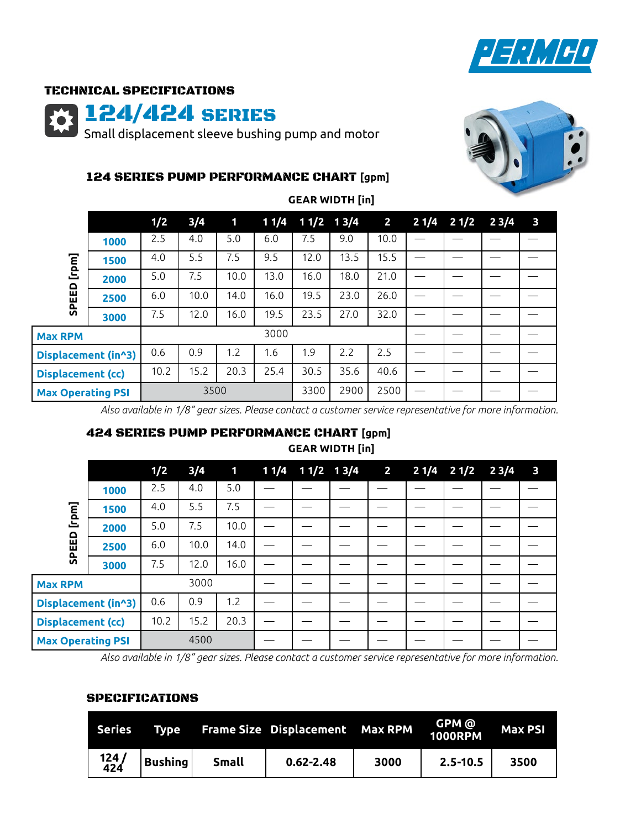

## TECHNICAL SPECIFICATIONS

124/424 SERIES

Small displacement sleeve bushing pump and motor



## 124 SERIES PUMP PERFORMANCE CHART **[gpm]**

|                            |      | 1/2  | 3/4  | $\mathbf 1$ | 11/4 | $11/2$ 13/4 |      | $\overline{2}$ | 21/4 | 21/2 | 23/4 | $\overline{\mathbf{3}}$ |
|----------------------------|------|------|------|-------------|------|-------------|------|----------------|------|------|------|-------------------------|
| [rpm]<br>읍<br>靣<br>ᇍ<br>៰៑ | 1000 | 2.5  | 4.0  | 5.0         | 6.0  | 7.5         | 9.0  | 10.0           |      |      |      |                         |
|                            | 1500 | 4.0  | 5.5  | 7.5         | 9.5  | 12.0        | 13.5 | 15.5           |      |      |      |                         |
|                            | 2000 | 5.0  | 7.5  | 10.0        | 13.0 | 16.0        | 18.0 | 21.0           |      |      |      |                         |
|                            | 2500 | 6.0  | 10.0 | 14.0        | 16.0 | 19.5        | 23.0 | 26.0           |      |      |      |                         |
|                            | 3000 | 7.5  | 12.0 | 16.0        | 19.5 | 23.5        | 27.0 | 32.0           |      |      |      |                         |
| <b>Max RPM</b>             |      |      |      |             | 3000 |             |      |                |      |      |      |                         |
| Displacement (in^3)        |      | 0.6  | 0.9  | 1.2         | 1.6  | 0.9         | 2.2  | 2.5            |      |      |      |                         |
| <b>Displacement (cc)</b>   |      | 10.2 | 15.2 | 20.3        | 25.4 | 30.5        | 35.6 | 40.6           |      |      |      |                         |
| <b>Max Operating PSI</b>   |      |      | 3500 |             |      | 3300        | 2900 | 2500           |      |      |      |                         |

**GEAR WIDTH [in]**

*Also available in 1/8" gear sizes. Please contact a customer service representative for more information.*

# 424 SERIES PUMP PERFORMANCE CHART **[gpm] GEAR WIDTH [in]**

|                          |      | 1/2  | 3/4  | $\blacksquare$ |  | 1 1/4 1 1/2 1 3/4 2 |  | $21/4$ $21/2$ $23/4$ | $\overline{\mathbf{3}}$ |
|--------------------------|------|------|------|----------------|--|---------------------|--|----------------------|-------------------------|
| [rpm]<br>SPEED           | 1000 | 2.5  | 4.0  | 5.0            |  |                     |  |                      |                         |
|                          | 1500 | 4.0  | 5.5  | 7.5            |  |                     |  |                      |                         |
|                          | 2000 | 5.0  | 7.5  | 10.0           |  |                     |  |                      |                         |
|                          | 2500 | 6.0  | 10.0 | 14.0           |  |                     |  |                      |                         |
|                          | 3000 | 7.5  | 12.0 | 16.0           |  |                     |  |                      |                         |
| <b>Max RPM</b>           |      |      | 3000 |                |  |                     |  |                      |                         |
| Displacement (in^3)      |      | 0.6  | 0.9  | 1.2            |  |                     |  |                      |                         |
| <b>Displacement (cc)</b> |      | 10.2 | 15.2 | 20.3           |  |                     |  |                      |                         |
| <b>Max Operating PSI</b> |      |      | 4500 |                |  |                     |  |                      |                         |

*Also available in 1/8" gear sizes. Please contact a customer service representative for more information.*

### SPECIFICATIONS

| Series <sup>-</sup> | <b>Type</b>    |              | <b>Frame Size Displacement Max RPM</b> |      | GPM @<br>1000RPM | <b>Max PSI</b> |
|---------------------|----------------|--------------|----------------------------------------|------|------------------|----------------|
| 124 /<br>424        | <b>Bushing</b> | <b>Small</b> | $0.62 - 2.48$                          | 3000 | $2.5 - 10.5$     | 3500           |